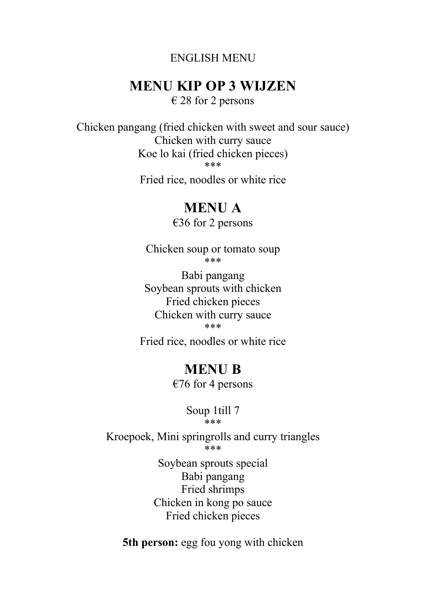### ENGLISH MENU

## **MENU KIP OP 3 WIJZEN**

 $\epsilon$  28 for 2 persons

Chicken pangang (fried chicken with sweet and sour sauce) Chicken with curry sauce Koe lo kai (fried chicken pieces) \*\*\*

Fried rice, noodles or white rice

## **MENU A**

€36 for 2 persons

Chicken soup or tomato soup \*\*\*

Babi pangang Soybean sprouts with chicken Fried chicken pieces Chicken with curry sauce \*\*\*

Fried rice, noodles or white rice

## **MENU B**

 $€76$  for 4 persons

Soup 1till 7 \*\*\*

Kroepoek, Mini springrolls and curry triangles \*\*\*

> Soybean sprouts special Babi pangang Fried shrimps Chicken in kong po sauce Fried chicken pieces

**5th person:** egg fou yong with chicken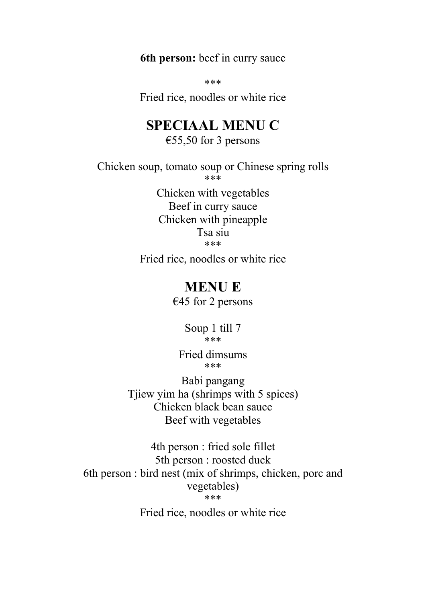**6th person:** beef in curry sauce

\*\*\*

Fried rice, noodles or white rice

## **SPECIAAL MENU C**

€55,50 for 3 persons

Chicken soup, tomato soup or Chinese spring rolls \*\*\*

> Chicken with vegetables Beef in curry sauce Chicken with pineapple Tsa siu \*\*\*

Fried rice, noodles or white rice

### **MENU E**

 $€45$  for 2 persons

Soup 1 till 7 \*\*\*

Fried dimsums \*\*\*

Babi pangang Tjiew yim ha (shrimps with 5 spices) Chicken black bean sauce Beef with vegetables

4th person : fried sole fillet 5th person : roosted duck 6th person : bird nest (mix of shrimps, chicken, porc and vegetables) \*\*\*

Fried rice, noodles or white rice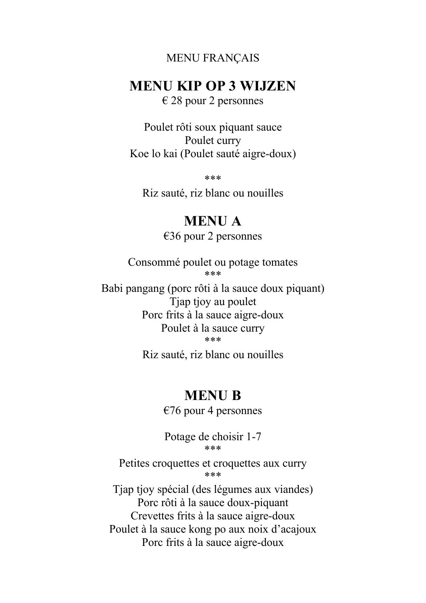#### MENU FRANÇAIS

### **MENU KIP OP 3 WIJZEN**

 $\epsilon$  28 pour 2 personnes

Poulet rôti soux piquant sauce Poulet curry Koe lo kai (Poulet sauté aigre-doux)

\*\*\*

Riz sauté, riz blanc ou nouilles

### **MENU A**

€36 pour 2 personnes

Consommé poulet ou potage tomates \*\*\*

Babi pangang (porc rôti à la sauce doux piquant) Tjap tjoy au poulet Porc frits à la sauce aigre-doux Poulet à la sauce curry \*\*\*

Riz sauté, riz blanc ou nouilles

### **MENU B**

 $\epsilon$ 76 pour 4 personnes

Potage de choisir 1-7 \*\*\*

Petites croquettes et croquettes aux curry \*\*\*

Tjap tjoy spécial (des légumes aux viandes) Porc rôti à la sauce doux-piquant Crevettes frits à la sauce aigre-doux Poulet à la sauce kong po aux noix d'acajoux Porc frits à la sauce aigre-doux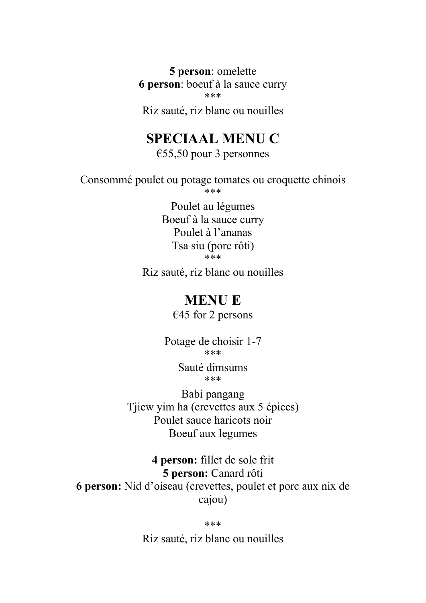**5 person**: omelette **6 person**: boeuf à la sauce curry \*\*\*

Riz sauté, riz blanc ou nouilles

# **SPECIAAL MENU C**

€55,50 pour 3 personnes

Consommé poulet ou potage tomates ou croquette chinois \*\*\*

> Poulet au légumes Boeuf à la sauce curry Poulet à l'ananas Tsa siu (porc rôti) \*\*\*

Riz sauté, riz blanc ou nouilles

## **MENU E**

€45 for 2 persons

Potage de choisir 1-7 \*\*\*

> Sauté dimsums \*\*\*

Babi pangang Tjiew yim ha (crevettes aux 5 épices) Poulet sauce haricots noir Boeuf aux legumes

**4 person:** fillet de sole frit **5 person:** Canard rôti **6 person:** Nid d'oiseau (crevettes, poulet et porc aux nix de cajou)

\*\*\*

Riz sauté, riz blanc ou nouilles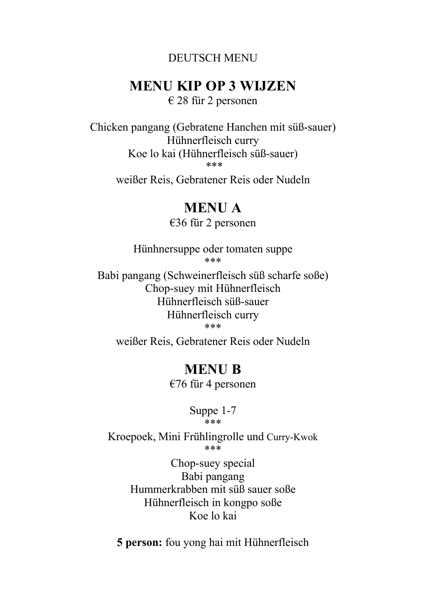### DEUTSCH MENU

## **MENU KIP OP 3 WIJZEN**

€ 28 für 2 personen

Chicken pangang (Gebratene Hanchen mit süß-sauer) Hühnerfleisch curry Koe lo kai (Hühnerfleisch süß-sauer) \*\*\*

weißer Reis, Gebratener Reis oder Nudeln

## **MENU A**

€36 für 2 personen

Hünhnersuppe oder tomaten suppe \*\*\*

Babi pangang (Schweinerfleisch süß scharfe soße) Chop-suey mit Hühnerfleisch Hühnerfleisch süß-sauer Hühnerfleisch curry \*\*\*

weißer Reis, Gebratener Reis oder Nudeln

## **MENU B**

€76 für 4 personen

Suppe 1-7 \*\*\*

Kroepoek, Mini Frühlingrolle und Curry-Kwok \*\*\*

> Chop-suey special Babi pangang Hummerkrabben mit süß sauer soße Hühnerfleisch in kongpo soße Koe lo kai

**5 person:** fou yong hai mit Hühnerfleisch